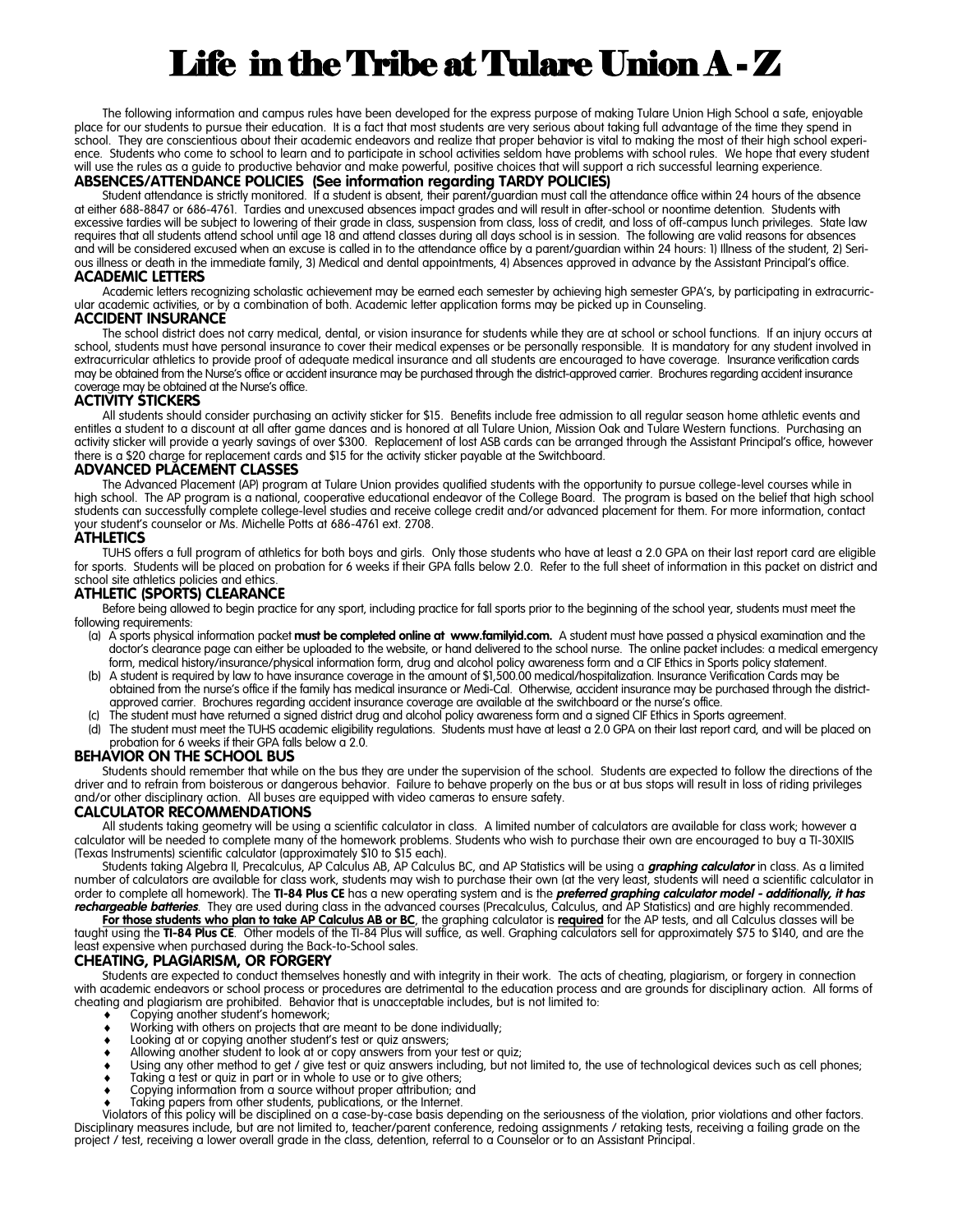# Life in the Tribe at Tulare Union A - Z

The following information and campus rules have been developed for the express purpose of making Tulare Union High School a safe, enjoyable place for our students to pursue their education. It is a fact that most students are very serious about taking full advantage of the time they spend in school. They are conscientious about their academic endeavors and realize that proper behavior is vital to making the most of their high school experience. Students who come to school to learn and to participate in school activities seldom have problems with school rules. We hope that every student will use the rules as a guide to productive behavior and make powerful, positive choices that will support a rich successful learning experience. **ABSENCES/ATTENDANCE POLICIES (See information regarding TARDY POLICIES)**

#### Student attendance is strictly monitored. If a student is absent, their parent/guardian must call the attendance office within 24 hours of the absence at either 688-8847 or 686-4761. Tardies and unexcused absences impact grades and will result in after-school or noontime detention. Students with excessive tardies will be subject to lowering of their grade in class, suspension from class, loss of credit, and loss of off-campus lunch privileges. State law requires that all students attend school until age 18 and attend classes during all days school is in session. The following are valid reasons for absences and will be considered excused when an excuse is called in to the attendance office by a parent/guardian within 24 hours: 1) Illness of the student, 2) Serious illness or death in the immediate family, 3) Medical and dental appointments, 4) Absences approved in advance by the Assistant Principal's office.

#### **ACADEMIC LETTERS**

Academic letters recognizing scholastic achievement may be earned each semester by achieving high semester GPA's, by participating in extracurricular academic activities, or by a combination of both. Academic letter application forms may be picked up in Counseling.

### **ACCIDENT INSURANCE**

The school district does not carry medical, dental, or vision insurance for students while they are at school or school functions. If an injury occurs at school, students must have personal insurance to cover their medical expenses or be personally responsible. It is mandatory for any student involved in extracurricular athletics to provide proof of adequate medical insurance and all students are encouraged to have coverage. Insurance verification cards may be obtained from the Nurse's office or accident insurance may be purchased through the district-approved carrier. Brochures regarding accident insurance coverage may be obtained at the Nurse's office.

#### **ACTIVITY STICKERS**

All students should consider purchasing an activity sticker for \$15. Benefits include free admission to all regular season home athletic events and entitles a student to a discount at all after game dances and is honored at all Tulare Union, Mission Oak and Tulare Western functions. Purchasing an activity sticker will provide a yearly savings of over \$300. Replacement of lost ASB cards can be arranged through the Assistant Principal's office, however there is a \$20 charge for replacement cards and \$15 for the activity sticker payable at the Switchboard.

#### **ADVANCED PLACEMENT CLASSES**

The Advanced Placement (AP) program at Tulare Union provides qualified students with the opportunity to pursue college-level courses while in high school. The AP program is a national, cooperative educational endeavor of the College Board. The program is based on the belief that high school students can successfully complete college-level studies and receive college credit and/or advanced placement for them. For more information, contact your student's counselor or Ms. Michelle Potts at 686-4761 ext. 2708.

#### **ATHLETICS**

TUHS offers a full program of athletics for both boys and girls. Only those students who have at least a 2.0 GPA on their last report card are eligible for sports. Students will be placed on probation for 6 weeks if their GPA falls below 2.0. Refer to the full sheet of information in this packet on district and school site athletics policies and ethics

#### **ATHLETIC (SPORTS) CLEARANCE**

Before being allowed to begin practice for any sport, including practice for fall sports prior to the beginning of the school year, students must meet the following requirements:

- (a) A sports physical information packet **must be completed online at www.familyid.com.** A student must have passed a physical examination and the doctor's clearance page can either be uploaded to the website, or hand delivered to the school nurse. The online packet includes: a medical emergency form, medical history/insurance/physical information form, drug and alcohol policy awareness form and a CIF Ethics in Sports policy statement.
- (b) A student is required by law to have insurance coverage in the amount of \$1,500.00 medical/hospitalization. Insurance Verification Cards may be obtained from the nurse's office if the family has medical insurance or Medi-Cal. Otherwise, accident insurance may be purchased through the districtapproved carrier. Brochures regarding accident insurance coverage are available at the switchboard or the nurse's office.
- The student must have returned a signed district drug and alcohol policy awareness form and a signed CIF Ethics in Sports agreement.
- (d) The student must meet the TUHS academic eligibility regulations. Students must have at least a 2.0 GPA on their last report card, and will be placed on probation for 6 weeks if their GPA falls below a 2.0.

#### **BEHAVIOR ON THE SCHOOL BUS**

Students should remember that while on the bus they are under the supervision of the school. Students are expected to follow the directions of the driver and to refrain from boisterous or dangerous behavior. Failure to behave properly on the bus or at bus stops will result in loss of riding privileges and/or other disciplinary action. All buses are equipped with video cameras to ensure safety.

#### **CALCULATOR RECOMMENDATIONS**

All students taking geometry will be using a scientific calculator in class. A limited number of calculators are available for class work; however a calculator will be needed to complete many of the homework problems. Students who wish to purchase their own are encouraged to buy a TI-30XIIS (Texas Instruments) scientific calculator (approximately \$10 to \$15 each).

Students taking Algebra II, Precalculus, AP Calculus AB, AP Calculus BC, and AP Statistics will be using a *graphing calculator* in class. As a limited number of calculators are available for class work, students may wish to purchase their own (at the very least, students will need a scientific calculator in order to complete all homework). The **TI-84 Plus CE** has a new operating system and is the *preferred graphing calculator model - additionally, it has rechargeable batteries*. They are used during class in the advanced courses (Precalculus, Calculus, and AP Statistics) and are highly recommended.

For those students who plan to take AP Calculus AB or BC, the graphing calculator is required for the AP tests, and all Calculus classes will be taught using the **TI-84 Plus CE**. Other models of the TI-84 Plus will suffice, as well. Graphing calculators sell for approximately \$75 to \$140, and are the least expensive when purchased during the Back-to-School sales.

#### **CHEATING, PLAGIARISM, OR FORGERY**

Students are expected to conduct themselves honestly and with integrity in their work. The acts of cheating, plagiarism, or forgery in connection with academic endeavors or school process or procedures are detrimental to the education process and are grounds for disciplinary action. All forms of cheating and plagiarism are prohibited. Behavior that is unacceptable includes, but is not limited to:

- Copying another student's homework;
- Working with others on projects that are meant to be done individually;
- Looking at or copying another student's test or quiz answers;
- Allowing another student to look at or copy answers from your test or quiz;
- Using any other method to get / give test or quiz answers including, but not limited to, the use of technological devices such as cell phones;
- **Taking a test or quiz in part or in whole to use or to give others;**
- Copying information from a source without proper attribution; and Taking papers from other students, publications, or the Internet.

Violators of this policy will be disciplined on a case-by-case basis depending on the seriousness of the violation, prior violations and other factors. Disciplinary measures include, but are not limited to, teacher/parent conference, redoing assignments / retaking tests, receiving a failing grade on the project / test, receiving a lower overall grade in the class, detention, referral to a Counselor or to an Assistant Principal.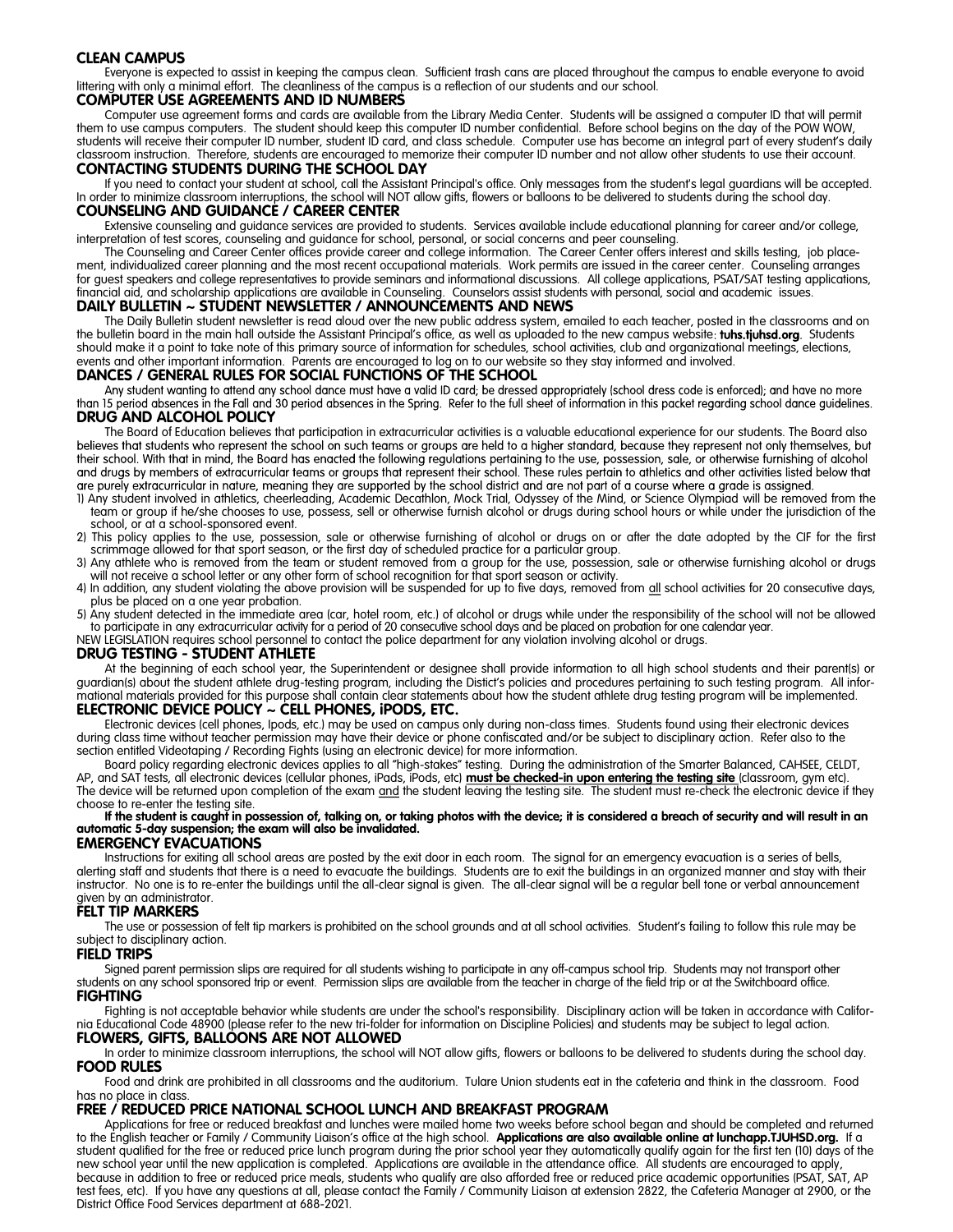#### **CLEAN CAMPUS**

Everyone is expected to assist in keeping the campus clean. Sufficient trash cans are placed throughout the campus to enable everyone to avoid littering with only a minimal effort. The cleanliness of the campus is a reflection of our students and our school.

#### **COMPUTER USE AGREEMENTS AND ID NUMBERS**

Computer use agreement forms and cards are available from the Library Media Center. Students will be assigned a computer ID that will permit them to use campus computers. The student should keep this computer ID number confidential. Before school begins on the day of the POW WOW, students will receive their computer ID number, student ID card, and class schedule. Computer use has become an integral part of every student's daily classroom instruction. Therefore, students are encouraged to memorize their computer ID number and not allow other students to use their account. **CONTACTING STUDENTS DURING THE SCHOOL DAY**

#### If you need to contact your student at school, call the Assistant Principal's office. Only messages from the student's legal guardians will be accepted. In order to minimize classroom interruptions, the school will NOT allow gifts, flowers or balloons to be delivered to students during the school day. **COUNSELING AND GUIDANCE / CAREER CENTER**

Extensive counseling and guidance services are provided to students. Services available include educational planning for career and/or college, interpretation of test scores, counseling and guidance for school, personal, or social concerns and peer counseling.

The Counseling and Career Center offices provide career and college information. The Career Center offers interest and skills testing, job placement, individualized career planning and the most recent occupational materials. Work permits are issued in the career center. Counseling arranges for guest speakers and college representatives to provide seminars and informational discussions. All college applications, PSAT/SAT testing applications, financial aid, and scholarship applications are available in Counseling. Counselors assist students with personal, social and academic issues.

#### **DAILY BULLETIN ~ STUDENT NEWSLETTER / ANNOUNCEMENTS AND NEWS**

The Daily Bulletin student newsletter is read aloud over the new public address system, emailed to each teacher, posted in the classrooms and on the bulletin board in the main hall outside the Assistant Principal's office, as well as uploaded to the new campus website: tuhs.tjuhsd.org. Students should make it a point to take note of this primary source of information for schedules, school activities, club and organizational meetings, elections, events and other important information. Parents are encouraged to log on to our website so they stay informed and involved.

**DANCES / GENERAL RULES FOR SOCIAL FUNCTIONS OF THE SCHOOL**<br>Any student wanting to attend any school dance must have a valid ID card; be dressed appropriately (school dress code is enforced); and have no more than 15 period absences in the Fall and 30 period absences in the Spring. Refer to the full sheet of information in this packet regarding school dance guidelines.<br>DRUG AND ALCOHOL POLICY

The Board of Education believes that participation in extracurricular activities is a valuable educational experience for our students. The Board also<br>believes that students who represent the school on such teams or groups their school. With that in mind, the Board has enacted the following regulations pertaining to the use, possession, sale, or otherwise furnishing of alcohol and drugs by members of extracurricular teams or groups that represent their school. These rules pertain to athletics and other activities listed below that The structurist in atture, meaning they are supported by the school district and are not part of a course where a grade is assigned.<br>
1) Any student involved in athletics, cheerleading, Academic Decathlon, Mock Trial, Odys

- team or group if he/she chooses to use, possess, sell or otherwise furnish alcohol or drugs during school hours or while under the jurisdiction of the school, or at a school-sponsored event.
- 2) This policy applies to the use, possession, sale or otherwise furnishing of alcohol or drugs on or after the date adopted by the CIF for the first scrimmage allowed for that sport season, or the first day of scheduled practice for a particular group.
- 3) Any athlete who is removed from the team or student removed from a group for the use, possession, sale or otherwise furnishing alcohol or drugs will not receive a school letter or any other form of school recognition for that sport season or activity.
- 4) In addition, any student violating the above provision will be suspended for up to five days, removed from all school activities for 20 consecutive days, plus be placed on a one year probation.
- 5) Any student detected in the immediate area (car, hotel room, etc.) of alcohol or drugs while under the responsibility of the school will not be allowed to participate in any extracurricular activity for a period of 20 consecutive school days and be placed on probation for one calendar year.

NEW LEGISLATION requires school personnel to contact the police department for any violation involving alcohol or drugs.

#### **DRUG TESTING - STUDENT ATHLETE**

At the beginning of each school year, the Superintendent or designee shall provide information to all high school students and their parent(s) or guardian(s) about the student athlete drug-testing program, including the Distict's policies and procedures pertaining to such testing program. All informational materials provided for this purpose shall contain clear statements about how the student athlete drug testing program will be implemented.

#### **ELECTRONIC DEVICE POLICY ~ CELL PHONES, iPODS, ETC.**

Electronic devices (cell phones, Ipods, etc.) may be used on campus only during non-class times. Students found using their electronic devices during class time without teacher permission may have their device or phone confiscated and/or be subject to disciplinary action. Refer also to the section entitled Videotaping / Recording Fights (using an electronic device) for more information.

Board policy regarding electronic devices applies to all "high-stakes" testing. During the administration of the Smarter Balanced, CAHSEE, CELDT, AP, and SAT tests, all electronic devices (cellular phones, iPads, iPods, etc) **must be checked-in upon entering the testing site** (classroom, gym etc). The device will be returned upon completion of the exam and the student leaving the testing site. The student must re-check the electronic device if they choose to re-enter the testing site.

#### If the student is caught in possession of, talking on, or taking photos with the device; it is considered a breach of security and will result in an **automatic 5-day suspension; the exam will also be invalidated.**

#### **EMERGENCY EVACUATIONS**

Instructions for exiting all school areas are posted by the exit door in each room. The signal for an emergency evacuation is a series of bells, alerting staff and students that there is a need to evacuate the buildings. Students are to exit the buildings in an organized manner and stay with their instructor. No one is to re-enter the buildings until the all-clear signal is given. The all-clear signal will be a regular bell tone or verbal announcement given by an administrator.

#### **FELT TIP MARKERS**

The use or possession of felt tip markers is prohibited on the school grounds and at all school activities. Student's failing to follow this rule may be subject to disciplinary action. **FIELD TRIPS**

Signed parent permission slips are required for all students wishing to participate in any off-campus school trip. Students may not transport other students on any school sponsored trip or event. Permission slips are available from the teacher in charge of the field trip or at the Switchboard office. **FIGHTING**

Fighting is not acceptable behavior while students are under the school's responsibility. Disciplinary action will be taken in accordance with California Educational Code 48900 (please refer to the new tri-folder for information on Discipline Policies) and students may be subject to legal action. **FLOWERS, GIFTS, BALLOONS ARE NOT ALLOWED** 

In order to minimize classroom interruptions, the school will NOT allow gifts, flowers or balloons to be delivered to students during the school day.

**FOOD RULES**

Food and drink are prohibited in all classrooms and the auditorium. Tulare Union students eat in the cafeteria and think in the classroom. Food has no place in class.

#### **FREE / REDUCED PRICE NATIONAL SCHOOL LUNCH AND BREAKFAST PROGRAM**

Applications for free or reduced breakfast and lunches were mailed home two weeks before school began and should be completed and returned to the English teacher or Family / Community Liaison's office at the high school. **Applications are also available online at lunchapp.TJUHSD.org.** If a student qualified for the free or reduced price lunch program during the prior school year they automatically qualify again for the first ten (10) days of the new school year until the new application is completed. Applications are available in the attendance office. All students are encouraged to apply, because in addition to free or reduced price meals, students who qualify are also afforded free or reduced price academic opportunities (PSAT, SAT, AP test fees, etc). If you have any questions at all, please contact the Family / Community Liaison at extension 2822, the Cafeteria Manager at 2900, or the District Office Food Services department at 688-2021.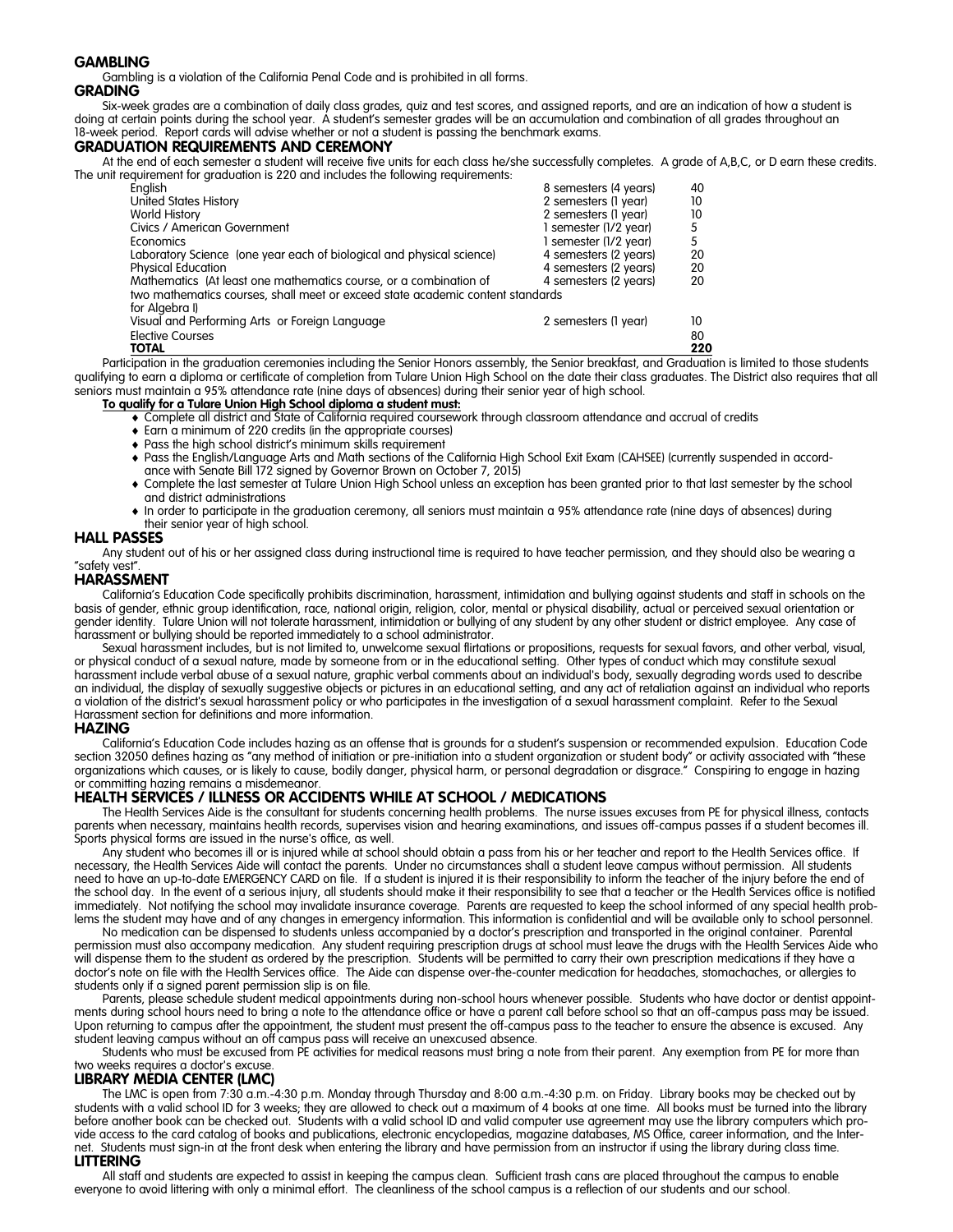#### **GAMBLING**

Gambling is a violation of the California Penal Code and is prohibited in all forms.

### **GRADING**

Six-week grades are a combination of daily class grades, quiz and test scores, and assigned reports, and are an indication of how a student is doing at certain points during the school year. A student's semester grades will be an accumulation and combination of all grades throughout an 18-week period. Report cards will advise whether or not a student is passing the benchmark exams.

#### **GRADUATION REQUIREMENTS AND CEREMONY**

At the end of each semester a student will receive five units for each class he/she successfully completes. A grade of A,B,C, or D earn these credits. The unit requirement for graduation is 220 and includes the following requirements:

| English                                                                        | 8 semesters (4 years) | 40  |
|--------------------------------------------------------------------------------|-----------------------|-----|
| <b>United States History</b>                                                   | 2 semesters (1 year)  | 10  |
| <b>World History</b>                                                           | 2 semesters (1 year)  | 10  |
| Civics / American Government                                                   | 1 semester (1/2 year) |     |
| Economics                                                                      | 1 semester (1/2 year) | 5   |
| Laboratory Science (one year each of biological and physical science)          | 4 semesters (2 years) | 20  |
| <b>Physical Education</b>                                                      | 4 semesters (2 years) | 20  |
| Mathematics (At least one mathematics course, or a combination of              | 4 semesters (2 years) | 20  |
| two mathematics courses, shall meet or exceed state academic content standards |                       |     |
| for Algebra I)                                                                 |                       |     |
| Visual and Performing Arts or Foreign Language                                 | 2 semesters (1 year)  | 10  |
| <b>Elective Courses</b>                                                        |                       | 80  |
| <b>TOTAL</b>                                                                   |                       | 220 |

Participation in the graduation ceremonies including the Senior Honors assembly, the Senior breakfast, and Graduation is limited to those students qualifying to earn a diploma or certificate of completion from Tulare Union High School on the date their class graduates. The District also requires that all seniors must maintain a 95% attendance rate (nine days of absences) during their senior year of high school.

#### **To qualify for a Tulare Union High School diploma a student must:**

- Complete all district and State of California required coursework through classroom attendance and accrual of credits
- Earn a minimum of 220 credits (in the appropriate courses)
- Pass the high school district's minimum skills requirement
- Pass the English/Language Arts and Math sections of the California High School Exit Exam (CAHSEE) (currently suspended in accordance with Senate Bill 172 signed by Governor Brown on October 7, 2015)
- Complete the last semester at Tulare Union High School unless an exception has been granted prior to that last semester by the school and district administrations
- In order to participate in the graduation ceremony, all seniors must maintain a 95% attendance rate (nine days of absences) during their senior year of high school.

#### **HALL PASSES**

Any student out of his or her assigned class during instructional time is required to have teacher permission, and they should also be wearing a "safety vest".

#### **HARASSMENT**

California's Education Code specifically prohibits discrimination, harassment, intimidation and bullying against students and staff in schools on the basis of gender, ethnic group identification, race, national origin, religion, color, mental or physical disability, actual or perceived sexual orientation or gender identity. Tulare Union will not tolerate harassment, intimidation or bullying of any student by any other student or district employee. Any case of harassment or bullying should be reported immediately to a school administrator.

Sexual harassment includes, but is not limited to, unwelcome sexual flirtations or propositions, requests for sexual favors, and other verbal, visual, or physical conduct of a sexual nature, made by someone from or in the educational setting. Other types of conduct which may constitute sexual harassment include verbal abuse of a sexual nature, graphic verbal comments about an individual's body, sexually degrading words used to describe an individual, the display of sexually suggestive objects or pictures in an educational setting, and any act of retaliation against an individual who reports a violation of the district's sexual harassment policy or who participates in the investigation of a sexual harassment complaint. Refer to the Sexual Harassment section for definitions and more information.

#### **HAZING**

California's Education Code includes hazing as an offense that is grounds for a student's suspension or recommended expulsion. Education Code section 32050 defines hazing as "any method of initiation or pre-initiation into a student organization or student body" or activity associated with "these organizations which causes, or is likely to cause, bodily danger, physical harm, or personal degradation or disgrace." Conspiring to engage in hazing or committing hazing remains a misdemeanor.

#### **HEALTH SERVICES / ILLNESS OR ACCIDENTS WHILE AT SCHOOL / MEDICATIONS**

The Health Services Aide is the consultant for students concerning health problems. The nurse issues excuses from PE for physical illness, contacts parents when necessary, maintains health records, supervises vision and hearing examinations, and issues off-campus passes if a student becomes ill. Sports physical forms are issued in the nurse's office, as well.

Any student who becomes ill or is injured while at school should obtain a pass from his or her teacher and report to the Health Services office. If necessary, the Health Services Aide will contact the parents. Under no circumstances shall a student leave campus without permission. All students need to have an up-to-date EMERGENCY CARD on file. If a student is injured it is their responsibility to inform the teacher of the injury before the end of the school day. In the event of a serious injury, all students should make it their responsibility to see that a teacher or the Health Services office is notified immediately. Not notifying the school may invalidate insurance coverage. Parents are requested to keep the school informed of any special health problems the student may have and of any changes in emergency information. This information is confidential and will be available only to school personnel.

No medication can be dispensed to students unless accompanied by a doctor's prescription and transported in the original container. Parental permission must also accompany medication. Any student requiring prescription drugs at school must leave the drugs with the Health Services Aide who will dispense them to the student as ordered by the prescription. Students will be permitted to carry their own prescription medications if they have a doctor's note on file with the Health Services office. The Aide can dispense over-the-counter medication for headaches, stomachaches, or allergies to students only if a signed parent permission slip is on file.

Parents, please schedule student medical appointments during non-school hours whenever possible. Students who have doctor or dentist appointments during school hours need to bring a note to the attendance office or have a parent call before school so that an off-campus pass may be issued. Upon returning to campus after the appointment, the student must present the off-campus pass to the teacher to ensure the absence is excused. Any student leaving campus without an off campus pass will receive an unexcused absence.

Students who must be excused from PE activities for medical reasons must bring a note from their parent. Any exemption from PE for more than two weeks requires a doctor's excuse

#### **LIBRARY MEDIA CENTER (LMC)**

The LMC is open from 7:30 a.m.-4:30 p.m. Monday through Thursday and 8:00 a.m.-4:30 p.m. on Friday. Library books may be checked out by students with a valid school ID for 3 weeks; they are allowed to check out a maximum of 4 books at one time. All books must be turned into the library before another book can be checked out. Students with a valid school ID and valid computer use agreement may use the library computers which provide access to the card catalog of books and publications, electronic encyclopedias, magazine databases, MS Office, career information, and the Internet. Students must sign-in at the front desk when entering the library and have permission from an instructor if using the library during class time. **LITTERING**

All staff and students are expected to assist in keeping the campus clean. Sufficient trash cans are placed throughout the campus to enable everyone to avoid littering with only a minimal effort. The cleanliness of the school campus is a reflection of our students and our school.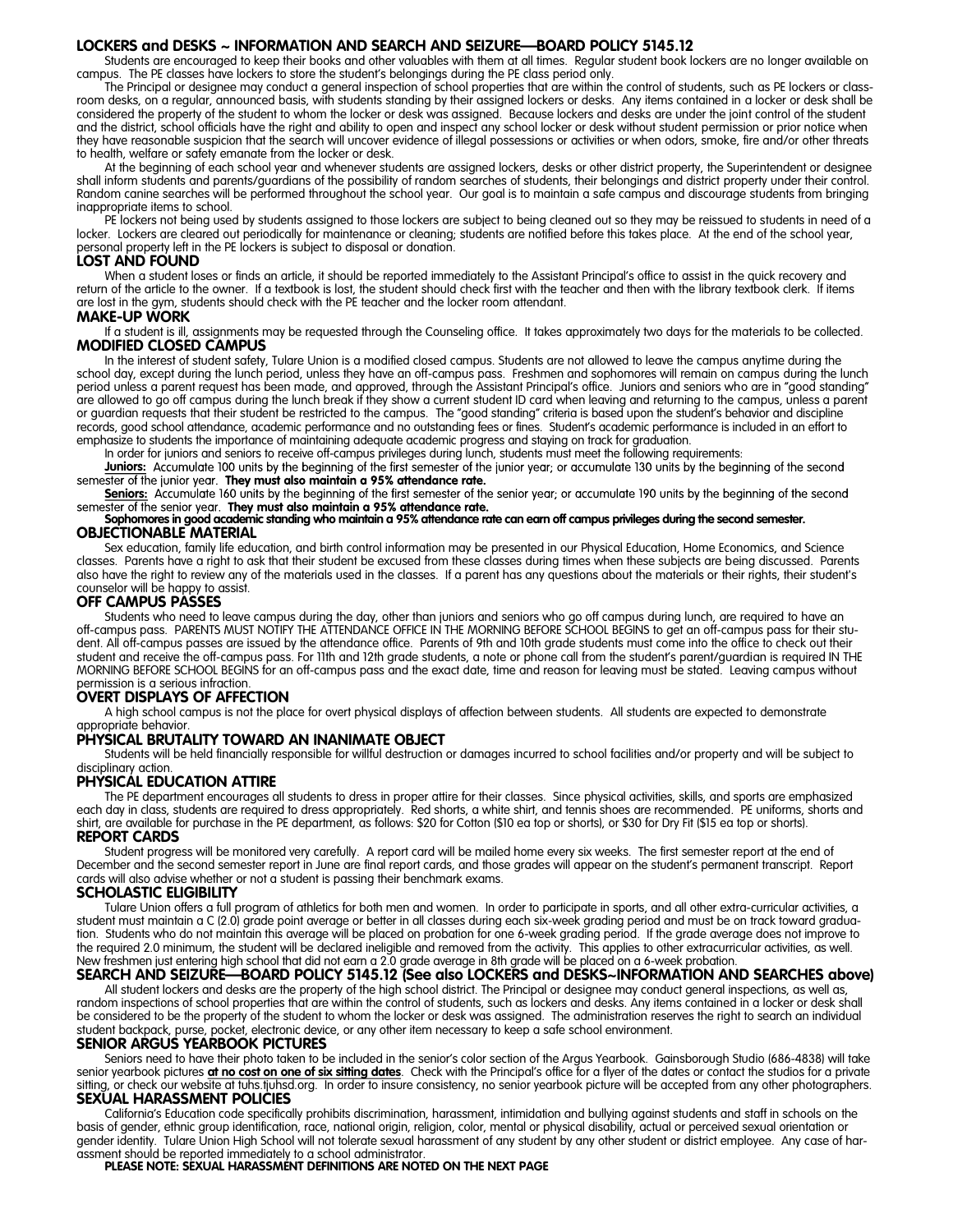#### **LOCKERS and DESKS ~ INFORMATION AND SEARCH AND SEIZURE—BOARD POLICY 5145.12**

Students are encouraged to keep their books and other valuables with them at all times. Regular student book lockers are no longer available on campus. The PE classes have lockers to store the student's belongings during the PE class period only.

The Principal or designee may conduct a general inspection of school properties that are within the control of students, such as PE lockers or classroom desks, on a regular, announced basis, with students standing by their assigned lockers or desks. Any items contained in a locker or desk shall be considered the property of the student to whom the locker or desk was assigned. Because lockers and desks are under the joint control of the student and the district, school officials have the right and ability to open and inspect any school locker or desk without student permission or prior notice when they have reasonable suspicion that the search will uncover evidence of illegal possessions or activities or when odors, smoke, fire and/or other threats to health, welfare or safety emanate from the locker or desk.

At the beginning of each school year and whenever students are assigned lockers, desks or other district property, the Superintendent or designee shall inform students and parents/guardians of the possibility of random searches of students, their belongings and district property under their control. Random canine searches will be performed throughout the school year. Our goal is to maintain a safe campus and discourage students from bringing inappropriate items to school.

PE lockers not being used by students assigned to those lockers are subject to being cleaned out so they may be reissued to students in need of a locker. Lockers are cleared out periodically for maintenance or cleaning; students are notified before this takes place. At the end of the school year, personal property left in the PE lockers is subject to disposal or donation.

#### **LOST AND FOUND**

When a student loses or finds an article, it should be reported immediately to the Assistant Principal's office to assist in the quick recovery and return of the article to the owner. If a textbook is lost, the student should check first with the teacher and then with the library textbook clerk. If items are lost in the gym, students should check with the PE teacher and the locker room attendant.

#### **MAKE-UP WORK**

If a student is ill, assignments may be requested through the Counseling office. It takes approximately two days for the materials to be collected. **MODIFIED CLOSED CAMPUS**

In the interest of student safety, Tulare Union is a modified closed campus. Students are not allowed to leave the campus anytime during the school day, except during the lunch period, unless they have an off-campus pass. Freshmen and sophomores will remain on campus during the lunch period unless a parent request has been made, and approved, through the Assistant Principal's office. Juniors and seniors who are in "good standing" are allowed to go off campus during the lunch break if they show a current student ID card when leaving and returning to the campus, unless a parent or guardian requests that their student be restricted to the campus. The "good standing" criteria is based upon the student's behavior and discipline records, good school attendance, academic performance and no outstanding fees or fines. Student's academic performance is included in an effort to emphasize to students the importance of maintaining adequate academic progress and staying on track for graduation.

In order for juniors and seniors to receive off-campus privileges during lunch, students must meet the following requirements:

**Juniors:** Accumulate 100 units by the beginning of the first semester of the junior year; or accumulate 130 units by the beginning of the second semester of the junior year. They must also maintain a 95% attendance rate.

Seniors: Accumulate 160 units by the beginning of the first semester of the senior year; or accumulate 190 units by the beginning of the second Somester of the senior year. They must also maintain a 95% attendance rate.<br>Sophomores in good academic standing who maintain a 95% attendance rate can earn off campus privileges during the second semester.

## **OBJECTIONABLE MATERIAL**

Sex education, family life education, and birth control information may be presented in our Physical Education, Home Economics, and Science classes. Parents have a right to ask that their student be excused from these classes during times when these subjects are being discussed. Parents also have the right to review any of the materials used in the classes. If a parent has any questions about the materials or their rights, their student's counselor will be happy to assist.

#### **OFF CAMPUS PASSES**

Students who need to leave campus during the day, other than juniors and seniors who go off campus during lunch, are required to have an off-campus pass. PARENTS MUST NOTIFY THE ATTENDANCE OFFICE IN THE MORNING BEFORE SCHOOL BEGINS to get an off-campus pass for their student. All off-campus passes are issued by the attendance office. Parents of 9th and 10th grade students must come into the office to check out their student and receive the off-campus pass. For 11th and 12th grade students, a note or phone call from the student's parent/guardian is required IN THE MORNING BEFORE SCHOOL BEGINS for an off-campus pass and the exact date, time and reason for leaving must be stated. Leaving campus without permission is a serious infraction.

## **OVERT DISPLAYS OF AFFECTION**

A high school campus is not the place for overt physical displays of affection between students. All students are expected to demonstrate appropriate behavior.

#### **PHYSICAL BRUTALITY TOWARD AN INANIMATE OBJECT**

Students will be held financially responsible for willful destruction or damages incurred to school facilities and/or property and will be subject to disciplinary action.

#### **PHYSICAL EDUCATION ATTIRE**

The PE department encourages all students to dress in proper attire for their classes. Since physical activities, skills, and sports are emphasized each day in class, students are required to dress appropriately. Red shorts, a white shirt, and tennis shoes are recommended. PE uniforms, shorts and shirt, are available for purchase in the PE department, as follows: \$20 for Cotton (\$10 ea top or shorts), or \$30 for Dry Fit (\$15 ea top or shorts). **REPORT CARDS**

Student progress will be monitored very carefully. A report card will be mailed home every six weeks. The first semester report at the end of December and the second semester report in June are final report cards, and those grades will appear on the student's permanent transcript. Report cards will also advise whether or not a student is passing their benchmark exams.

#### **SCHOLASTIC ELIGIBILITY**

Tulare Union offers a full program of athletics for both men and women. In order to participate in sports, and all other extra-curricular activities, a student must maintain a C (2.0) grade point average or better in all classes during each six-week grading period and must be on track toward graduation. Students who do not maintain this average will be placed on probation for one 6-week grading period. If the grade average does not improve to the required 2.0 minimum, the student will be declared ineligible and removed from the activity. This applies to other extracurricular activities, as well.

## New freshmen just entering high school that did not earn a 2.0 grade average in 8th grade will be placed on a 6-week probation.<br>**SEARCH AND SEIZURE—BOARD POLICY 5145.12 (See also LOCKERS and DESKS~INFORMATION AND SEARCHES**

All student lockers and desks are the property of the high school district. The Principal or designee may conduct general inspections, as well as, random inspections of school properties that are within the control of students, such as lockers and desks. Any items contained in a locker or desk shall be considered to be the property of the student to whom the locker or desk was assigned. The administration reserves the right to search an individual student backpack, purse, pocket, electronic device, or any other item necessary to keep a safe school environment.

#### **SENIOR ARGUS YEARBOOK PICTURES**

Seniors need to have their photo taken to be included in the senior's color section of the Argus Yearbook. Gainsborough Studio (686-4838) will take senior yearbook pictures **at no cost on one of six sitting dates**. Check with the Principal's office for a flyer of the dates or contact the studios for a private sitting, or check our website at tuhs.tjuhsd.org. In order to insure consistency, no senior yearbook picture will be accepted from any other photographers. **SEXUAL HARASSMENT POLICIES**

California's Education code specifically prohibits discrimination, harassment, intimidation and bullying against students and staff in schools on the basis of gender, ethnic group identification, race, national origin, religion, color, mental or physical disability, actual or perceived sexual orientation or gender identity. Tulare Union High School will not tolerate sexual harassment of any student by any other student or district employee. Any case of har-

assment should be reported immediately to a school administrator. **PLEASE NOTE: SEXUAL HARASSMENT DEFINITIONS ARE NOTED ON THE NEXT PAGE**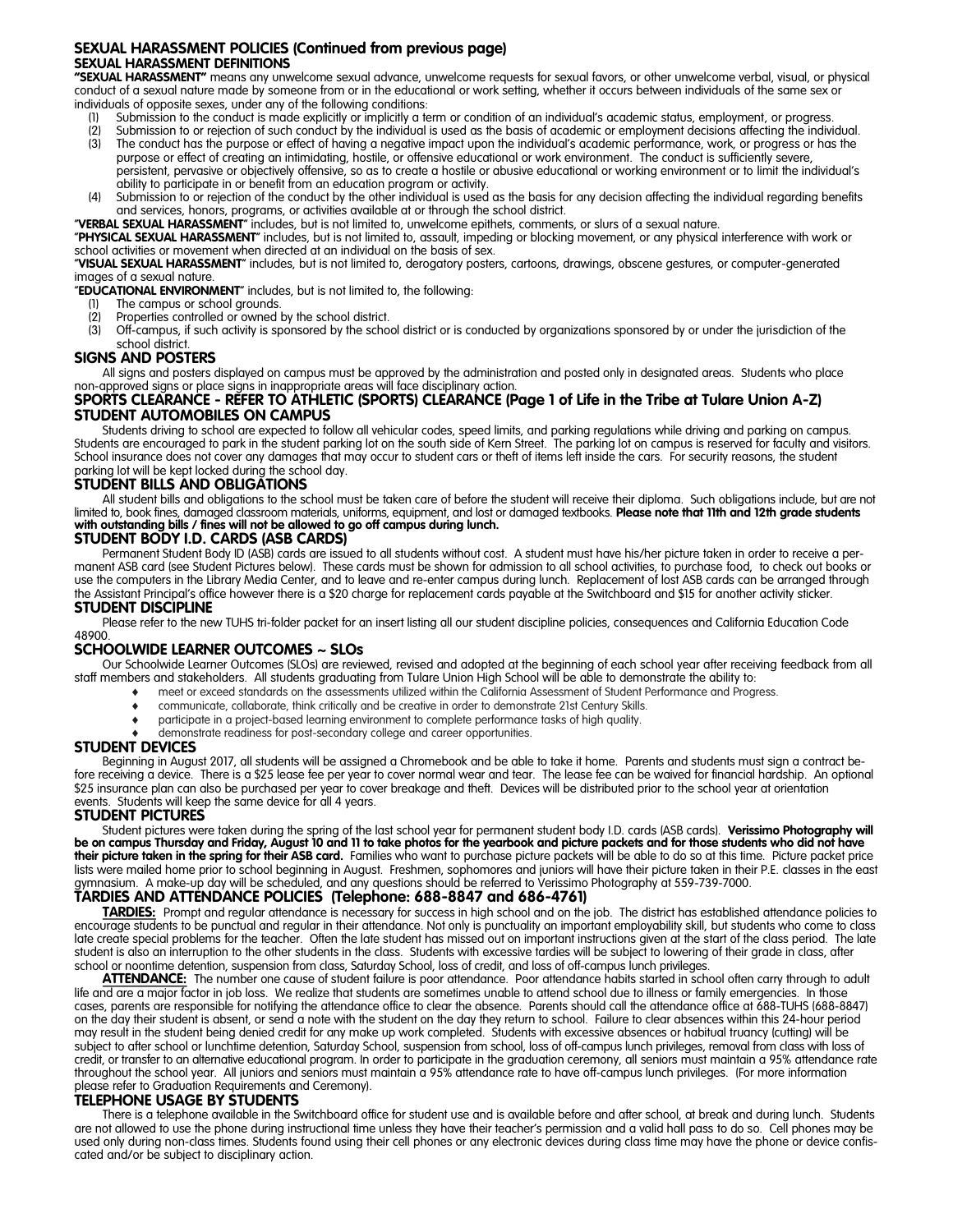#### **SEXUAL HARASSMENT POLICIES (Continued from previous page) SEXUAL HARASSMENT DEFINITIONS**

**"SEXUAL HARASSMENT"** means any unwelcome sexual advance, unwelcome requests for sexual favors, or other unwelcome verbal, visual, or physical conduct of a sexual nature made by someone from or in the educational or work setting, whether it occurs between individuals of the same sex or individuals of opposite sexes, under any of the following conditions:

- Submission to the conduct is made explicitly or implicitly a term or condition of an individual's academic status, employment, or progress.
- (2) Submission to or rejection of such conduct by the individual is used as the basis of academic or employment decisions affecting the individual.<br>(3) The conduct has the purpose or effect of having a peagtive impact upon The conduct has the purpose or effect of having a negative impact upon the individual's academic performance, work, or progress or has the
- purpose or effect of creating an intimidating, hostile, or offensive educational or work environment. The conduct is sufficiently severe, persistent, pervasive or objectively offensive, so as to create a hostile or abusive educational or working environment or to limit the individual's ability to participate in or benefit from an education program or activity.
- (4) Submission to or rejection of the conduct by the other individual is used as the basis for any decision affecting the individual regarding benefits and services, honors, programs, or activities available at or through the school district.

"**VERBAL SEXUAL HARASSMENT**" includes, but is not limited to, unwelcome epithets, comments, or slurs of a sexual nature.

"**PHYSICAL SEXUAL HARASSMENT**" includes, but is not limited to, assault, impeding or blocking movement, or any physical interference with work or school activities or movement when directed at an individual on the basis of sex.

"**VISUAL SEXUAL HARASSMENT**" includes, but is not limited to, derogatory posters, cartoons, drawings, obscene gestures, or computer-generated images of a sexual nature.

"**EDUCATIONAL ENVIRONMENT**" includes, but is not limited to, the following:

- The campus or school grounds.
- (2) Properties controlled or owned by the school district.
- (3) Off-campus, if such activity is sponsored by the school district or is conducted by organizations sponsored by or under the jurisdiction of the school district.

#### **SIGNS AND POSTERS**

All signs and posters displayed on campus must be approved by the administration and posted only in designated areas. Students who place

### non-approved signs or place signs in inappropriate areas will face disciplinary action. **SPORTS CLEARANCE - REFER TO ATHLETIC (SPORTS) CLEARANCE (Page 1 of Life in the Tribe at Tulare Union A-Z) STUDENT AUTOMOBILES ON CAMPUS**

Students driving to school are expected to follow all vehicular codes, speed limits, and parking regulations while driving and parking on campus. Students are encouraged to park in the student parking lot on the south side of Kern Street. The parking lot on campus is reserved for faculty and visitors. School insurance does not cover any damages that may occur to student cars or theft of items left inside the cars. For security reasons, the student parking lot will be kept locked during the school day.

#### **STUDENT BILLS AND OBLIGATIONS**

All student bills and obligations to the school must be taken care of before the student will receive their diploma. Such obligations include, but are not limited to, book fines, damaged classroom materials, uniforms, equipment, and lost or damaged textbooks. **Please note that 11th and 12th grade students**  with outstanding bills / fines will not be allowed to go off campus during lunch.

#### **STUDENT BODY I.D. CARDS (ASB CARDS)**

Permanent Student Body ID (ASB) cards are issued to all students without cost. A student must have his/her picture taken in order to receive a permanent ASB card (see Student Pictures below). These cards must be shown for admission to all school activities, to purchase food, to check out books or use the computers in the Library Media Center, and to leave and re-enter campus during lunch. Replacement of lost ASB cards can be arranged through the Assistant Principal's office however there is a \$20 charge for replacement cards payable at the Switchboard and \$15 for another activity sticker.

#### **STUDENT DISCIPLINE**

Please refer to the new TUHS tri-folder packet for an insert listing all our student discipline policies, consequences and California Education Code 48900.

#### **SCHOOLWIDE LEARNER OUTCOMES ~ SLOs**

Our Schoolwide Learner Outcomes (SLOs) are reviewed, revised and adopted at the beginning of each school year after receiving feedback from all staff members and stakeholders. All students graduating from Tulare Union High School will be able to demonstrate the ability to:

- meet or exceed standards on the assessments utilized within the California Assessment of Student Performance and Progress.
	- communicate, collaborate, think critically and be creative in order to demonstrate 21st Century Skills.
	- participate in a project-based learning environment to complete performance tasks of high quality.
		- demonstrate readiness for post-secondary college and career opportunities.

#### **STUDENT DEVICES**

Beginning in August 2017, all students will be assigned a Chromebook and be able to take it home. Parents and students must sign a contract before receiving a device. There is a \$25 lease fee per year to cover normal wear and tear. The lease fee can be waived for financial hardship. An optional \$25 insurance plan can also be purchased per year to cover breakage and theft. Devices will be distributed prior to the school year at orientation events. Students will keep the same device for all 4 years.

#### **STUDENT PICTURES**

Student pictures were taken during the spring of the last school year for permanent student body I.D. cards (ASB cards). Verissimo Photography will<br>be on campus Thursday and Friday, August 10 and 11 to take photos for the **their picture taken in the spring for their ASB card.** Families who want to purchase picture packets will be able to do so at this time. Picture packet price lists were mailed home prior to school beginning in August. Freshmen, sophomores and juniors will have their picture taken in their P.E. classes in the east gymnasium. A make-up day will be scheduled, and any questions should be referred to Verissimo Photography at 559-739-7000.

#### **TARDIES AND ATTENDANCE POLICIES (Telephone: 688-8847 and 686-4761)**

**TARDIES:** Prompt and regular attendance is necessary for success in high school and on the job. The district has established attendance policies to encourage students to be punctual and regular in their attendance. Not only is punctuality an important employability skill, but students who come to class late create special problems for the teacher. Often the late student has missed out on important instructions given at the start of the class period. The late student is also an interruption to the other students in the class. Students with excessive tardies will be subject to lowering of their grade in class, after school or noontime detention, suspension from class, Saturday School, loss of credit, and loss of off-campus lunch privileges.

**ATTENDANCE:** The number one cause of student failure is poor attendance. Poor attendance habits started in school often carry through to adult life and are a major factor in job loss. We realize that students are sometimes unable to attend school due to illness or family emergencies. In those cases, parents are responsible for notifying the attendance office to clear the absence. Parents should call the attendance office at 688-TUHS (688-8847) on the day their student is absent, or send a note with the student on the day they return to school. Failure to clear absences within this 24-hour period may result in the student being denied credit for any make up work completed. Students with excessive absences or habitual truancy (cutting) will be subject to after school or lunchtime detention, Saturday School, suspension from school, loss of off-campus lunch privileges, removal from class with loss of credit, or transfer to an alternative educational program. In order to participate in the graduation ceremony, all seniors must maintain a 95% attendance rate throughout the school year. All juniors and seniors must maintain a 95% attendance rate to have off-campus lunch privileges. (For more information please refer to Graduation Requirements and Ceremony).

#### **TELEPHONE USAGE BY STUDENTS**

There is a telephone available in the Switchboard office for student use and is available before and after school, at break and during lunch. Students are not allowed to use the phone during instructional time unless they have their teacher's permission and a valid hall pass to do so. Cell phones may be used only during non-class times. Students found using their cell phones or any electronic devices during class time may have the phone or device confiscated and/or be subject to disciplinary action.